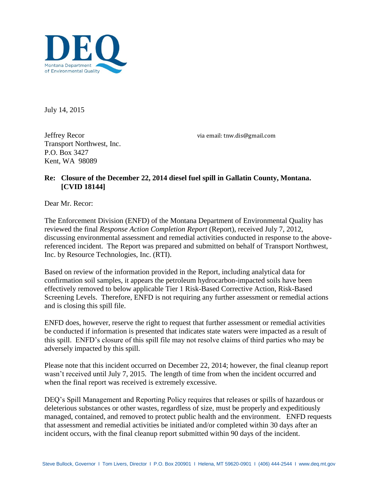

July 14, 2015

Jeffrey Recor Transport Northwest, Inc. P.O. Box 3427 Kent, WA 98089

via email: tnw.dis@gmail.com

## **Re: Closure of the December 22, 2014 diesel fuel spill in Gallatin County, Montana. [CVID 18144]**

Dear Mr. Recor:

The Enforcement Division (ENFD) of the Montana Department of Environmental Quality has reviewed the final *Response Action Completion Report* (Report), received July 7, 2012, discussing environmental assessment and remedial activities conducted in response to the abovereferenced incident. The Report was prepared and submitted on behalf of Transport Northwest, Inc. by Resource Technologies, Inc. (RTI).

Based on review of the information provided in the Report, including analytical data for confirmation soil samples, it appears the petroleum hydrocarbon-impacted soils have been effectively removed to below applicable Tier 1 Risk-Based Corrective Action, Risk-Based Screening Levels. Therefore, ENFD is not requiring any further assessment or remedial actions and is closing this spill file.

ENFD does, however, reserve the right to request that further assessment or remedial activities be conducted if information is presented that indicates state waters were impacted as a result of this spill. ENFD's closure of this spill file may not resolve claims of third parties who may be adversely impacted by this spill.

Please note that this incident occurred on December 22, 2014; however, the final cleanup report wasn't received until July 7, 2015. The length of time from when the incident occurred and when the final report was received is extremely excessive.

DEQ's Spill Management and Reporting Policy requires that releases or spills of hazardous or deleterious substances or other wastes, regardless of size, must be properly and expeditiously managed, contained, and removed to protect public health and the environment. ENFD requests that assessment and remedial activities be initiated and/or completed within 30 days after an incident occurs, with the final cleanup report submitted within 90 days of the incident.